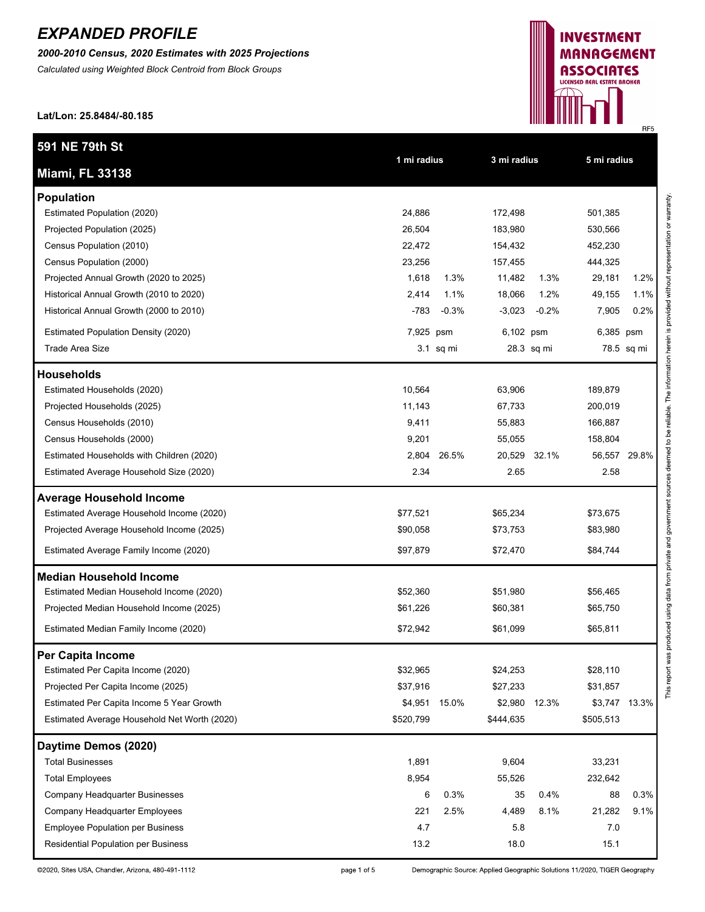*2000-2010 Census, 2020 Estimates with 2025 Projections*

*Calculated using Weighted Block Centroid from Block Groups*



**Lat/Lon: 25.8484/-80.185**

| 591 NE 79th St                               | 1 mi radius |           | 3 mi radius |              | 5 mi radius |               |
|----------------------------------------------|-------------|-----------|-------------|--------------|-------------|---------------|
| <b>Miami, FL 33138</b>                       |             |           |             |              |             |               |
| <b>Population</b>                            |             |           |             |              |             |               |
| Estimated Population (2020)                  | 24,886      |           | 172,498     |              | 501,385     |               |
| Projected Population (2025)                  | 26,504      |           | 183,980     |              | 530,566     |               |
| Census Population (2010)                     | 22,472      |           | 154,432     |              | 452,230     |               |
| Census Population (2000)                     | 23,256      |           | 157,455     |              | 444,325     |               |
| Projected Annual Growth (2020 to 2025)       | 1,618       | 1.3%      | 11,482      | 1.3%         | 29,181      | 1.2%          |
| Historical Annual Growth (2010 to 2020)      | 2,414       | 1.1%      | 18,066      | 1.2%         | 49,155      | 1.1%          |
| Historical Annual Growth (2000 to 2010)      | $-783$      | $-0.3%$   | $-3,023$    | $-0.2%$      | 7,905       | 0.2%          |
| <b>Estimated Population Density (2020)</b>   | 7,925 psm   |           | 6,102 psm   |              | 6,385 psm   |               |
| Trade Area Size                              |             | 3.1 sq mi |             | 28.3 sq mi   |             | 78.5 sq mi    |
| <b>Households</b>                            |             |           |             |              |             |               |
| Estimated Households (2020)                  | 10,564      |           | 63,906      |              | 189,879     |               |
| Projected Households (2025)                  | 11,143      |           | 67,733      |              | 200,019     |               |
| Census Households (2010)                     | 9,411       |           | 55,883      |              | 166,887     |               |
| Census Households (2000)                     | 9,201       |           | 55,055      |              | 158,804     |               |
| Estimated Households with Children (2020)    | 2,804       | 26.5%     |             | 20,529 32.1% |             | 56,557 29.8%  |
| Estimated Average Household Size (2020)      | 2.34        |           | 2.65        |              | 2.58        |               |
| <b>Average Household Income</b>              |             |           |             |              |             |               |
| Estimated Average Household Income (2020)    | \$77,521    |           | \$65,234    |              | \$73,675    |               |
| Projected Average Household Income (2025)    | \$90,058    |           | \$73,753    |              | \$83,980    |               |
| Estimated Average Family Income (2020)       | \$97,879    |           | \$72,470    |              | \$84,744    |               |
| <b>Median Household Income</b>               |             |           |             |              |             |               |
| Estimated Median Household Income (2020)     | \$52,360    |           | \$51,980    |              | \$56,465    |               |
| Projected Median Household Income (2025)     | \$61,226    |           | \$60,381    |              | \$65,750    |               |
| Estimated Median Family Income (2020)        | \$72,942    |           | \$61,099    |              | \$65,811    |               |
| Per Capita Income                            |             |           |             |              |             |               |
| Estimated Per Capita Income (2020)           | \$32,965    |           | \$24,253    |              | \$28,110    |               |
| Projected Per Capita Income (2025)           | \$37,916    |           | \$27,233    |              | \$31,857    |               |
| Estimated Per Capita Income 5 Year Growth    | \$4,951     | 15.0%     | \$2,980     | 12.3%        |             | \$3,747 13.3% |
| Estimated Average Household Net Worth (2020) | \$520,799   |           | \$444,635   |              | \$505,513   |               |
| Daytime Demos (2020)                         |             |           |             |              |             |               |
| <b>Total Businesses</b>                      | 1,891       |           | 9,604       |              | 33,231      |               |
| <b>Total Employees</b>                       | 8,954       |           | 55,526      |              | 232,642     |               |
| Company Headquarter Businesses               | 6           | 0.3%      | 35          | 0.4%         | 88          | 0.3%          |
| Company Headquarter Employees                | 221         | 2.5%      | 4,489       | 8.1%         | 21,282      | 9.1%          |
| <b>Employee Population per Business</b>      | 4.7         |           | 5.8         |              | 7.0         |               |
| Residential Population per Business          | 13.2        |           | 18.0        |              | 15.1        |               |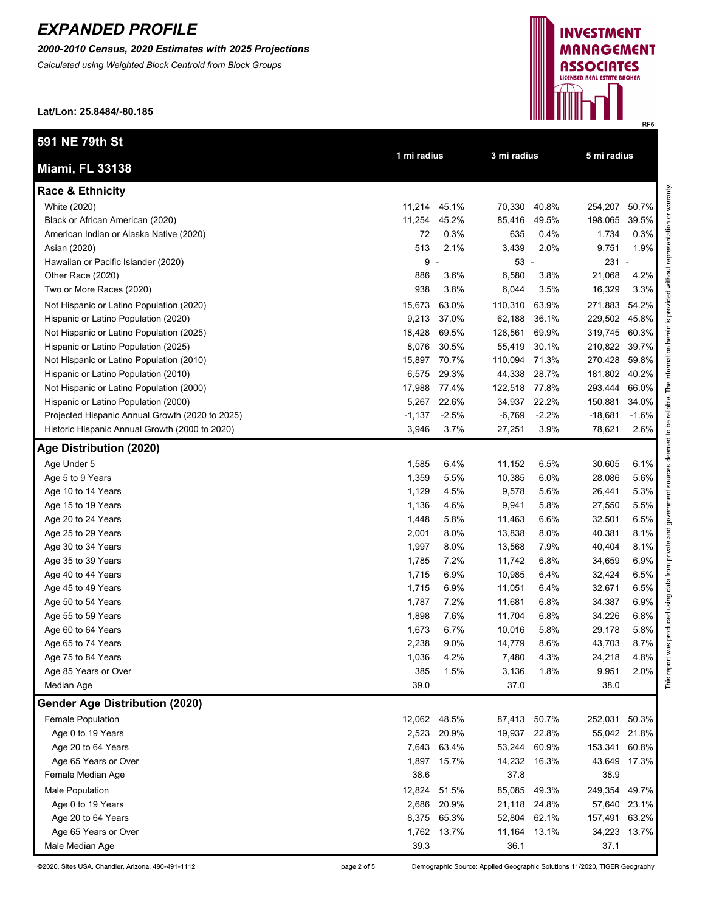*2000-2010 Census, 2020 Estimates with 2025 Projections*

*Calculated using Weighted Block Centroid from Block Groups*

**Lat/Lon: 25.8484/-80.185**

| 591 NE 79th St                                  |              | 1 mi radius |               | 3 mi radius |               | 5 mi radius |  |  |
|-------------------------------------------------|--------------|-------------|---------------|-------------|---------------|-------------|--|--|
| <b>Miami, FL 33138</b>                          |              |             |               |             |               |             |  |  |
| <b>Race &amp; Ethnicity</b>                     |              |             |               |             |               |             |  |  |
| White (2020)                                    | 11,214 45.1% |             | 70,330        | 40.8%       | 254,207       | 50.7%       |  |  |
| Black or African American (2020)                | 11,254       | 45.2%       | 85,416        | 49.5%       | 198,065       | 39.5%       |  |  |
| American Indian or Alaska Native (2020)         | 72           | 0.3%        | 635           | 0.4%        | 1,734         | 0.3%        |  |  |
| Asian (2020)                                    | 513          | 2.1%        | 3,439         | 2.0%        | 9,751         | 1.9%        |  |  |
| Hawaiian or Pacific Islander (2020)             | $9 -$        |             | $53 -$        |             | $231 -$       |             |  |  |
| Other Race (2020)                               | 886          | 3.6%        | 6,580         | 3.8%        | 21,068        | 4.2%        |  |  |
| Two or More Races (2020)                        | 938          | 3.8%        | 6,044         | 3.5%        | 16,329        | 3.3%        |  |  |
| Not Hispanic or Latino Population (2020)        | 15,673       | 63.0%       | 110,310       | 63.9%       | 271,883       | 54.2%       |  |  |
| Hispanic or Latino Population (2020)            | 9,213        | 37.0%       | 62,188        | 36.1%       | 229,502 45.8% |             |  |  |
| Not Hispanic or Latino Population (2025)        | 18,428       | 69.5%       | 128,561       | 69.9%       | 319,745 60.3% |             |  |  |
| Hispanic or Latino Population (2025)            | 8,076        | 30.5%       | 55,419        | 30.1%       | 210,822 39.7% |             |  |  |
| Not Hispanic or Latino Population (2010)        | 15,897       | 70.7%       | 110,094       | 71.3%       | 270,428       | 59.8%       |  |  |
| Hispanic or Latino Population (2010)            | 6,575        | 29.3%       | 44,338        | 28.7%       | 181,802 40.2% |             |  |  |
| Not Hispanic or Latino Population (2000)        | 17,988       | 77.4%       | 122,518 77.8% |             | 293,444       | 66.0%       |  |  |
| Hispanic or Latino Population (2000)            | 5,267        | 22.6%       | 34,937 22.2%  |             | 150,881       | 34.0%       |  |  |
| Projected Hispanic Annual Growth (2020 to 2025) | $-1,137$     | $-2.5%$     | $-6,769$      | $-2.2%$     | -18,681       | $-1.6%$     |  |  |
| Historic Hispanic Annual Growth (2000 to 2020)  | 3,946        | 3.7%        | 27,251        | 3.9%        | 78,621        | 2.6%        |  |  |
| Age Distribution (2020)                         |              |             |               |             |               |             |  |  |
| Age Under 5                                     | 1,585        | 6.4%        | 11,152        | 6.5%        | 30,605        | 6.1%        |  |  |
| Age 5 to 9 Years                                | 1,359        | 5.5%        | 10,385        | 6.0%        | 28,086        | 5.6%        |  |  |
| Age 10 to 14 Years                              | 1,129        | 4.5%        | 9,578         | 5.6%        | 26,441        | 5.3%        |  |  |
| Age 15 to 19 Years                              | 1,136        | 4.6%        | 9,941         | 5.8%        | 27,550        | 5.5%        |  |  |
| Age 20 to 24 Years                              | 1,448        | 5.8%        | 11,463        | 6.6%        | 32,501        | 6.5%        |  |  |
| Age 25 to 29 Years                              | 2,001        | 8.0%        | 13,838        | 8.0%        | 40,381        | 8.1%        |  |  |
| Age 30 to 34 Years                              | 1,997        | 8.0%        | 13,568        | 7.9%        | 40,404        | 8.1%        |  |  |
| Age 35 to 39 Years                              | 1,785        | 7.2%        | 11,742        | 6.8%        | 34,659        | 6.9%        |  |  |
| Age 40 to 44 Years                              | 1,715        | 6.9%        | 10,985        | 6.4%        | 32,424        | 6.5%        |  |  |
| Age 45 to 49 Years                              | 1,715        | 6.9%        | 11,051        | 6.4%        | 32,671        | 6.5%        |  |  |
| Age 50 to 54 Years                              | 1,787        | 7.2%        | 11,681        | 6.8%        | 34,387        | 6.9%        |  |  |
| Age 55 to 59 Years                              | 1,898        | 7.6%        | 11,704        | 6.8%        | 34,226        | 6.8%        |  |  |
| Age 60 to 64 Years                              | 1,673        | 6.7%        | 10,016        | 5.8%        | 29,178        | 5.8%        |  |  |
| Age 65 to 74 Years                              | 2,238        | 9.0%        | 14,779        | 8.6%        | 43,703        | 8.7%        |  |  |
| Age 75 to 84 Years                              | 1,036        | 4.2%        | 7,480         | 4.3%        | 24,218        | 4.8%        |  |  |
| Age 85 Years or Over                            | 385          | 1.5%        | 3,136         | 1.8%        | 9,951         | 2.0%        |  |  |
| Median Age                                      | 39.0         |             | 37.0          |             | 38.0          |             |  |  |
| <b>Gender Age Distribution (2020)</b>           |              |             |               |             |               |             |  |  |
| Female Population                               | 12,062 48.5% |             | 87,413 50.7%  |             | 252,031 50.3% |             |  |  |
| Age 0 to 19 Years                               |              | 2,523 20.9% | 19,937 22.8%  |             | 55,042 21.8%  |             |  |  |
| Age 20 to 64 Years                              |              | 7,643 63.4% | 53,244        | 60.9%       | 153,341 60.8% |             |  |  |
| Age 65 Years or Over                            |              | 1,897 15.7% | 14,232 16.3%  |             | 43,649 17.3%  |             |  |  |
| Female Median Age                               | 38.6         |             | 37.8          |             | 38.9          |             |  |  |
| <b>Male Population</b>                          | 12,824 51.5% |             | 85,085        | 49.3%       | 249,354 49.7% |             |  |  |
| Age 0 to 19 Years                               | 2,686        | 20.9%       | 21,118        | 24.8%       | 57,640 23.1%  |             |  |  |
| Age 20 to 64 Years                              |              | 8,375 65.3% | 52,804 62.1%  |             | 157,491 63.2% |             |  |  |
| Age 65 Years or Over                            |              | 1,762 13.7% | 11,164 13.1%  |             | 34,223 13.7%  |             |  |  |
| Male Median Age                                 | 39.3         |             | 36.1          |             | 37.1          |             |  |  |



©2020, Sites USA, Chandler, Arizona, 480-491-1112

page 2 of 5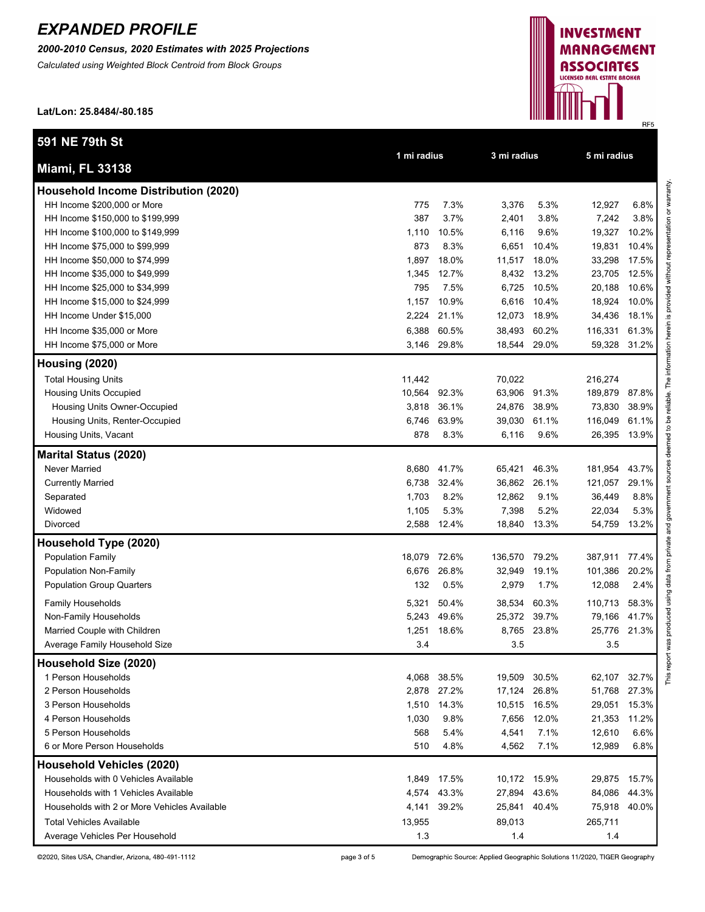*2000-2010 Census, 2020 Estimates with 2025 Projections*

*Calculated using Weighted Block Centroid from Block Groups*



**Lat/Lon: 25.8484/-80.185**

| 591 NE 79th St                               |              |             |              |             |         | 5 mi radius |  |
|----------------------------------------------|--------------|-------------|--------------|-------------|---------|-------------|--|
| <b>Miami, FL 33138</b>                       | 1 mi radius  |             |              | 3 mi radius |         |             |  |
| <b>Household Income Distribution (2020)</b>  |              |             |              |             |         |             |  |
| HH Income \$200,000 or More                  | 775          | 7.3%        | 3,376        | 5.3%        | 12,927  | 6.8%        |  |
| HH Income \$150,000 to \$199,999             | 387          | 3.7%        | 2,401        | 3.8%        | 7,242   | 3.8%        |  |
| HH Income \$100,000 to \$149,999             | 1,110        | 10.5%       | 6,116        | 9.6%        | 19,327  | 10.2%       |  |
| HH Income \$75,000 to \$99,999               | 873          | 8.3%        | 6,651        | 10.4%       | 19,831  | 10.4%       |  |
| HH Income \$50,000 to \$74,999               | 1,897        | 18.0%       | 11,517       | 18.0%       | 33,298  | 17.5%       |  |
| HH Income \$35,000 to \$49,999               | 1,345        | 12.7%       | 8,432        | 13.2%       | 23,705  | 12.5%       |  |
| HH Income \$25,000 to \$34,999               | 795          | 7.5%        | 6,725        | 10.5%       | 20,188  | 10.6%       |  |
| HH Income \$15,000 to \$24,999               | 1,157        | 10.9%       | 6,616        | 10.4%       | 18,924  | 10.0%       |  |
| HH Income Under \$15,000                     | 2,224        | 21.1%       | 12,073       | 18.9%       | 34,436  | 18.1%       |  |
| HH Income \$35,000 or More                   | 6,388        | 60.5%       | 38,493       | 60.2%       | 116,331 | 61.3%       |  |
| HH Income \$75,000 or More                   |              | 3,146 29.8% | 18,544       | 29.0%       | 59,328  | 31.2%       |  |
| Housing (2020)                               |              |             |              |             |         |             |  |
| <b>Total Housing Units</b>                   | 11,442       |             | 70,022       |             | 216,274 |             |  |
| <b>Housing Units Occupied</b>                | 10,564 92.3% |             | 63,906 91.3% |             | 189,879 | 87.8%       |  |
| Housing Units Owner-Occupied                 | 3,818        | 36.1%       | 24,876       | 38.9%       | 73,830  | 38.9%       |  |
| Housing Units, Renter-Occupied               | 6,746        | 63.9%       | 39,030 61.1% |             | 116,049 | 61.1%       |  |
| Housing Units, Vacant                        | 878          | 8.3%        | 6,116        | 9.6%        | 26,395  | 13.9%       |  |
| <b>Marital Status (2020)</b>                 |              |             |              |             |         |             |  |
| Never Married                                | 8,680        | 41.7%       | 65,421       | 46.3%       | 181,954 | 43.7%       |  |
| <b>Currently Married</b>                     | 6,738        | 32.4%       | 36,862       | 26.1%       | 121,057 | 29.1%       |  |
| Separated                                    | 1,703        | 8.2%        | 12,862       | 9.1%        | 36,449  | 8.8%        |  |
| Widowed                                      | 1,105        | 5.3%        | 7,398        | 5.2%        | 22,034  | 5.3%        |  |
| Divorced                                     |              | 2,588 12.4% | 18,840       | 13.3%       | 54,759  | 13.2%       |  |
| Household Type (2020)                        |              |             |              |             |         |             |  |
| <b>Population Family</b>                     | 18,079 72.6% |             | 136,570      | 79.2%       | 387,911 | 77.4%       |  |
| Population Non-Family                        | 6,676        | 26.8%       | 32,949       | 19.1%       | 101,386 | 20.2%       |  |
| <b>Population Group Quarters</b>             | 132          | 0.5%        | 2,979        | 1.7%        | 12,088  | 2.4%        |  |
| <b>Family Households</b>                     | 5,321        | 50.4%       | 38,534       | 60.3%       | 110,713 | 58.3%       |  |
| Non-Family Households                        | 5,243        | 49.6%       | 25,372       | 39.7%       | 79,166  | 41.7%       |  |
| Married Couple with Children                 | 1,251        | 18.6%       | 8,765        | 23.8%       | 25,776  | 21.3%       |  |
| Average Family Household Size                | 3.4          |             | 3.5          |             | 3.5     |             |  |
| Household Size (2020)                        |              |             |              |             |         |             |  |
| 1 Person Households                          | 4,068        | 38.5%       | 19,509       | 30.5%       | 62,107  | 32.7%       |  |
| 2 Person Households                          | 2,878        | 27.2%       | 17,124       | 26.8%       | 51,768  | 27.3%       |  |
| 3 Person Households                          | 1,510        | 14.3%       | 10,515       | 16.5%       | 29,051  | 15.3%       |  |
| 4 Person Households                          | 1,030        | 9.8%        | 7,656        | 12.0%       | 21,353  | 11.2%       |  |
| 5 Person Households                          | 568          | 5.4%        | 4,541        | 7.1%        | 12,610  | 6.6%        |  |
| 6 or More Person Households                  | 510          | 4.8%        | 4,562        | 7.1%        | 12,989  | 6.8%        |  |
| <b>Household Vehicles (2020)</b>             |              |             |              |             |         |             |  |
| Households with 0 Vehicles Available         | 1,849        | 17.5%       | 10,172 15.9% |             | 29,875  | 15.7%       |  |
| Households with 1 Vehicles Available         | 4,574        | 43.3%       | 27,894       | 43.6%       | 84,086  | 44.3%       |  |
| Households with 2 or More Vehicles Available | 4,141        | 39.2%       | 25,841       | 40.4%       | 75,918  | 40.0%       |  |
| <b>Total Vehicles Available</b>              | 13,955       |             | 89,013       |             | 265,711 |             |  |
| Average Vehicles Per Household               | 1.3          |             | 1.4          |             | 1.4     |             |  |

page 3 of 5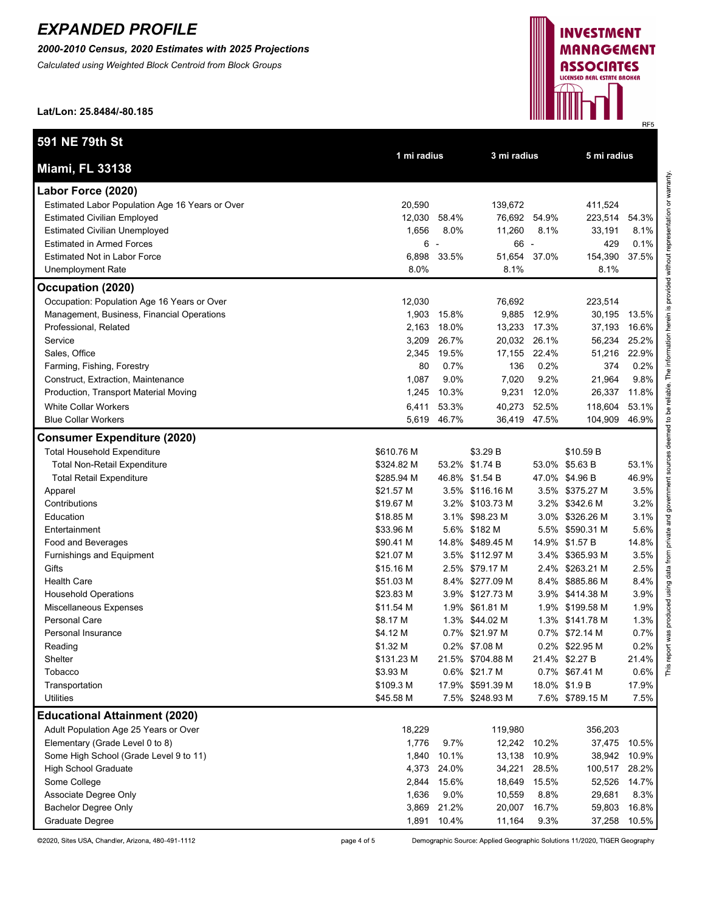*2000-2010 Census, 2020 Estimates with 2025 Projections*

*Calculated using Weighted Block Centroid from Block Groups*



This report was produced using data from private and government sources deemed to be reliable. The information herein is provided without representation or warranty.

**Lat/Lon: 25.8484/-80.185**

| 591 NE 79th St                                  |             |             |                  |                          |                 |       |
|-------------------------------------------------|-------------|-------------|------------------|--------------------------|-----------------|-------|
| <b>Miami, FL 33138</b>                          | 1 mi radius |             | 3 mi radius      |                          | 5 mi radius     |       |
| Labor Force (2020)                              |             |             |                  |                          |                 |       |
| Estimated Labor Population Age 16 Years or Over | 20,590      |             | 139,672          |                          | 411,524         |       |
| <b>Estimated Civilian Employed</b>              | 12,030      | 58.4%       | 76,692 54.9%     |                          | 223,514         | 54.3% |
| <b>Estimated Civilian Unemployed</b>            | 1,656       | 8.0%        | 11,260           | 8.1%                     | 33,191          | 8.1%  |
| <b>Estimated in Armed Forces</b>                | $6 -$       |             | 66               | $\overline{\phantom{a}}$ | 429             | 0.1%  |
| <b>Estimated Not in Labor Force</b>             | 6,898       | 33.5%       | 51,654           | 37.0%                    | 154,390         | 37.5% |
| <b>Unemployment Rate</b>                        | 8.0%        |             | 8.1%             |                          | 8.1%            |       |
| Occupation (2020)                               |             |             |                  |                          |                 |       |
| Occupation: Population Age 16 Years or Over     | 12,030      |             | 76,692           |                          | 223,514         |       |
| Management, Business, Financial Operations      | 1,903       | 15.8%       | 9,885            | 12.9%                    | 30,195          | 13.5% |
| Professional, Related                           | 2,163       | 18.0%       | 13,233           | 17.3%                    | 37,193          | 16.6% |
| Service                                         | 3,209       | 26.7%       | 20,032 26.1%     |                          | 56,234          | 25.2% |
| Sales, Office                                   | 2,345       | 19.5%       | 17,155           | 22.4%                    | 51,216          | 22.9% |
| Farming, Fishing, Forestry                      | 80          | 0.7%        | 136              | 0.2%                     | 374             | 0.2%  |
| Construct, Extraction, Maintenance              | 1,087       | 9.0%        | 7,020            | 9.2%                     | 21,964          | 9.8%  |
| Production, Transport Material Moving           | 1,245       | 10.3%       | 9,231            | 12.0%                    | 26,337          | 11.8% |
| <b>White Collar Workers</b>                     | 6,411       | 53.3%       | 40,273           | 52.5%                    | 118,604         | 53.1% |
| <b>Blue Collar Workers</b>                      |             | 5,619 46.7% | 36,419 47.5%     |                          | 104,909         | 46.9% |
| <b>Consumer Expenditure (2020)</b>              |             |             |                  |                          |                 |       |
| <b>Total Household Expenditure</b>              | \$610.76 M  |             | \$3.29 B         |                          | \$10.59 B       |       |
| <b>Total Non-Retail Expenditure</b>             | \$324.82 M  |             | 53.2% \$1.74 B   |                          | 53.0% \$5.63 B  | 53.1% |
| <b>Total Retail Expenditure</b>                 | \$285.94 M  |             | 46.8% \$1.54 B   |                          | 47.0% \$4.96 B  | 46.9% |
| Apparel                                         | \$21.57 M   |             | 3.5% \$116.16 M  |                          | 3.5% \$375.27 M | 3.5%  |
| Contributions                                   | \$19.67 M   |             | 3.2% \$103.73 M  |                          | 3.2% \$342.6 M  | 3.2%  |
| Education                                       | \$18.85 M   |             | 3.1% \$98.23 M   |                          | 3.0% \$326.26 M | 3.1%  |
| Entertainment                                   | \$33.96 M   |             | 5.6% \$182 M     |                          | 5.5% \$590.31 M | 5.6%  |
| Food and Beverages                              | \$90.41 M   |             | 14.8% \$489.45 M |                          | 14.9% \$1.57 B  | 14.8% |
| Furnishings and Equipment                       | \$21.07 M   |             | 3.5% \$112.97 M  |                          | 3.4% \$365.93 M | 3.5%  |
| Gifts                                           | \$15.16 M   |             | 2.5% \$79.17 M   | 2.4%                     | \$263.21 M      | 2.5%  |
| <b>Health Care</b>                              | \$51.03 M   |             | 8.4% \$277.09 M  |                          | 8.4% \$885.86 M | 8.4%  |
| <b>Household Operations</b>                     | \$23.83 M   |             | 3.9% \$127.73 M  |                          | 3.9% \$414.38 M | 3.9%  |
| Miscellaneous Expenses                          | \$11.54 M   |             | 1.9% \$61.81 M   |                          | 1.9% \$199.58 M | 1.9%  |
| Personal Care                                   | \$8.17 M    |             | 1.3% \$44.02 M   |                          | 1.3% \$141.78 M | 1.3%  |
| Personal Insurance                              | \$4.12 M    |             | 0.7% \$21.97 M   |                          | 0.7% \$72.14 M  | 0.7%  |
| Reading                                         | \$1.32 M    |             | 0.2% \$7.08 M    |                          | 0.2% \$22.95 M  | 0.2%  |
| Shelter                                         | \$131.23 M  |             | 21.5% \$704.88 M |                          | 21.4% \$2.27 B  | 21.4% |
| Tobacco                                         | \$3.93 M    |             | 0.6% \$21.7 M    |                          | 0.7% \$67.41 M  | 0.6%  |
| Transportation                                  | \$109.3 M   |             | 17.9% \$591.39 M |                          | 18.0% \$1.9 B   | 17.9% |
| <b>Utilities</b>                                | \$45.58 M   |             | 7.5% \$248.93 M  |                          | 7.6% \$789.15 M | 7.5%  |
| <b>Educational Attainment (2020)</b>            |             |             |                  |                          |                 |       |
| Adult Population Age 25 Years or Over           | 18,229      |             | 119,980          |                          | 356,203         |       |
| Elementary (Grade Level 0 to 8)                 | 1,776       | 9.7%        | 12,242 10.2%     |                          | 37,475          | 10.5% |
| Some High School (Grade Level 9 to 11)          | 1,840       | 10.1%       | 13,138           | 10.9%                    | 38,942          | 10.9% |
| <b>High School Graduate</b>                     | 4,373       | 24.0%       | 34,221           | 28.5%                    | 100,517         | 28.2% |
| Some College                                    | 2,844       | 15.6%       | 18,649           | 15.5%                    | 52,526          | 14.7% |
| Associate Degree Only                           | 1,636       | 9.0%        | 10,559           | 8.8%                     | 29,681          | 8.3%  |
| <b>Bachelor Degree Only</b>                     | 3,869       | 21.2%       | 20,007           | 16.7%                    | 59,803          | 16.8% |
| Graduate Degree                                 | 1,891       | 10.4%       | 11,164           | 9.3%                     | 37,258          | 10.5% |

page 4 of 5